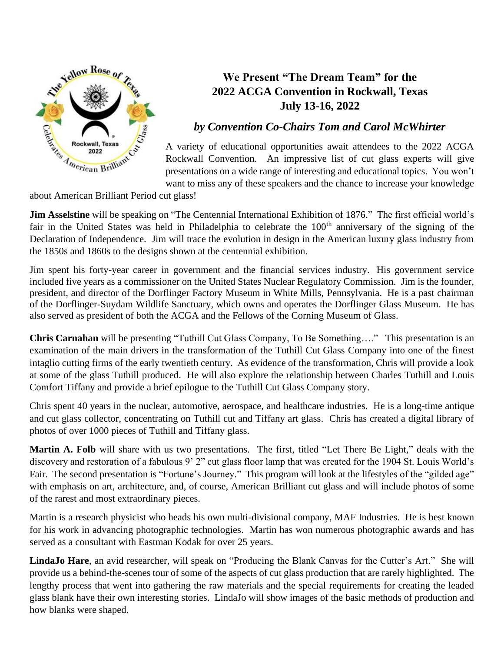

## **We Present "The Dream Team" for the 2022 ACGA Convention in Rockwall, Texas July 13-16, 2022**

## *by Convention Co-Chairs Tom and Carol McWhirter*

A variety of educational opportunities await attendees to the 2022 ACGA Rockwall Convention. An impressive list of cut glass experts will give presentations on a wide range of interesting and educational topics. You won't want to miss any of these speakers and the chance to increase your knowledge

about American Brilliant Period cut glass!

**Jim Asselstine** will be speaking on "The Centennial International Exhibition of 1876." The first official world's fair in the United States was held in Philadelphia to celebrate the 100<sup>th</sup> anniversary of the signing of the Declaration of Independence. Jim will trace the evolution in design in the American luxury glass industry from the 1850s and 1860s to the designs shown at the centennial exhibition.

Jim spent his forty-year career in government and the financial services industry. His government service included five years as a commissioner on the United States Nuclear Regulatory Commission. Jim is the founder, president, and director of the Dorflinger Factory Museum in White Mills, Pennsylvania. He is a past chairman of the Dorflinger-Suydam Wildlife Sanctuary, which owns and operates the Dorflinger Glass Museum. He has also served as president of both the ACGA and the Fellows of the Corning Museum of Glass.

**Chris Carnahan** will be presenting "Tuthill Cut Glass Company, To Be Something…." This presentation is an examination of the main drivers in the transformation of the Tuthill Cut Glass Company into one of the finest intaglio cutting firms of the early twentieth century. As evidence of the transformation, Chris will provide a look at some of the glass Tuthill produced. He will also explore the relationship between Charles Tuthill and Louis Comfort Tiffany and provide a brief epilogue to the Tuthill Cut Glass Company story.

Chris spent 40 years in the nuclear, automotive, aerospace, and healthcare industries. He is a long-time antique and cut glass collector, concentrating on Tuthill cut and Tiffany art glass. Chris has created a digital library of photos of over 1000 pieces of Tuthill and Tiffany glass.

**Martin A. Folb** will share with us two presentations. The first, titled "Let There Be Light," deals with the discovery and restoration of a fabulous 9' 2" cut glass floor lamp that was created for the 1904 St. Louis World's Fair. The second presentation is "Fortune's Journey." This program will look at the lifestyles of the "gilded age" with emphasis on art, architecture, and, of course, American Brilliant cut glass and will include photos of some of the rarest and most extraordinary pieces.

Martin is a research physicist who heads his own multi-divisional company, MAF Industries. He is best known for his work in advancing photographic technologies. Martin has won numerous photographic awards and has served as a consultant with Eastman Kodak for over 25 years.

**LindaJo Hare**, an avid researcher, will speak on "Producing the Blank Canvas for the Cutter's Art." She will provide us a behind-the-scenes tour of some of the aspects of cut glass production that are rarely highlighted. The lengthy process that went into gathering the raw materials and the special requirements for creating the leaded glass blank have their own interesting stories. LindaJo will show images of the basic methods of production and how blanks were shaped.